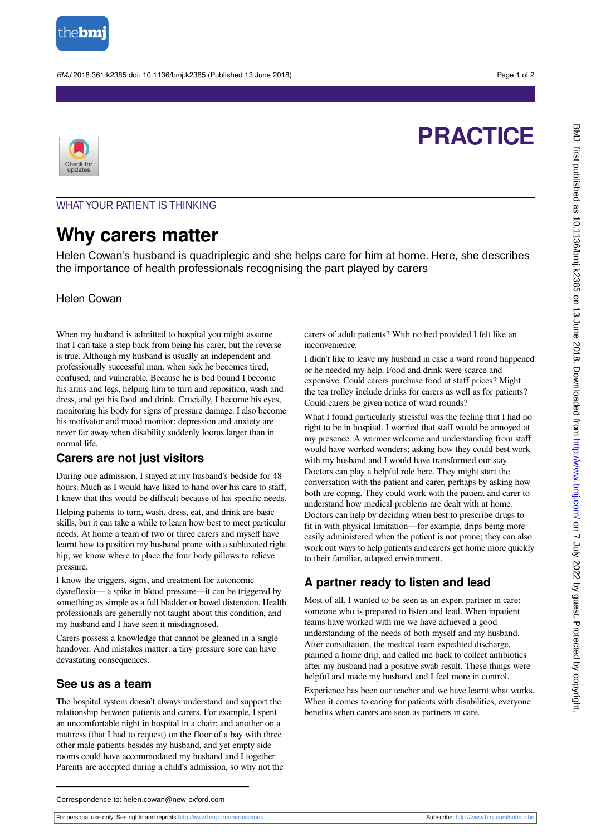

BMJ 2018;361:k2385 doi: 10.1136/bmj.k2385 (Published 13 June 2018) example to the control of 2

# **PRACTICE**



### WHAT YOUR PATIENT IS THINKING

# **Why carers matter**

Helen Cowan's husband is quadriplegic and she helps care for him at home. Here, she describes the importance of health professionals recognising the part played by carers

#### Helen Cowan

When my husband is admitted to hospital you might assume that I can take a step back from being his carer, but the reverse is true. Although my husband is usually an independent and professionally successful man, when sick he becomes tired, confused, and vulnerable. Because he is bed bound I become his arms and legs, helping him to turn and reposition, wash and dress, and get his food and drink. Crucially, I become his eyes, monitoring his body for signs of pressure damage. I also become his motivator and mood monitor: depression and anxiety are never far away when disability suddenly looms larger than in normal life.

#### **Carers are not just visitors**

During one admission, I stayed at my husband's bedside for 48 hours. Much as I would have liked to hand over his care to staff, I knew that this would be difficult because of his specific needs.

Helping patients to turn, wash, dress, eat, and drink are basic skills, but it can take a while to learn how best to meet particular needs. At home a team of two or three carers and myself have learnt how to position my husband prone with a subluxated right hip; we know where to place the four body pillows to relieve pressure.

I know the triggers, signs, and treatment for autonomic dysreflexia— a spike in blood pressure—it can be triggered by something as simple as a full bladder or bowel distension. Health professionals are generally not taught about this condition, and my husband and I have seen it misdiagnosed.

Carers possess a knowledge that cannot be gleaned in a single handover. And mistakes matter: a tiny pressure sore can have devastating consequences.

#### **See us as a team**

The hospital system doesn't always understand and support the relationship between patients and carers. For example, I spent an uncomfortable night in hospital in a chair; and another on a mattress (that I had to request) on the floor of a bay with three other male patients besides my husband, and yet empty side rooms could have accommodated my husband and I together. Parents are accepted during a child's admission, so why not the carers of adult patients? With no bed provided I felt like an inconvenience.

I didn't like to leave my husband in case a ward round happened or he needed my help. Food and drink were scarce and expensive. Could carers purchase food at staff prices? Might the tea trolley include drinks for carers as well as for patients? Could carers be given notice of ward rounds?

What I found particularly stressful was the feeling that I had no right to be in hospital. I worried that staff would be annoyed at my presence. A warmer welcome and understanding from staff would have worked wonders; asking how they could best work with my husband and I would have transformed our stay. Doctors can play a helpful role here. They might start the conversation with the patient and carer, perhaps by asking how both are coping. They could work with the patient and carer to understand how medical problems are dealt with at home. Doctors can help by deciding when best to prescribe drugs to fit in with physical limitation—for example, drips being more easily administered when the patient is not prone; they can also work out ways to help patients and carers get home more quickly to their familiar, adapted environment.

## **A partner ready to listen and lead**

Most of all, I wanted to be seen as an expert partner in care; someone who is prepared to listen and lead. When inpatient teams have worked with me we have achieved a good understanding of the needs of both myself and my husband. After consultation, the medical team expedited discharge, planned a home drip, and called me back to collect antibiotics after my husband had a positive swab result. These things were helpful and made my husband and I feel more in control.

Experience has been our teacher and we have learnt what works. When it comes to caring for patients with disabilities, everyone benefits when carers are seen as partners in care.

Correspondence to: helen.cowan@new-oxford.com